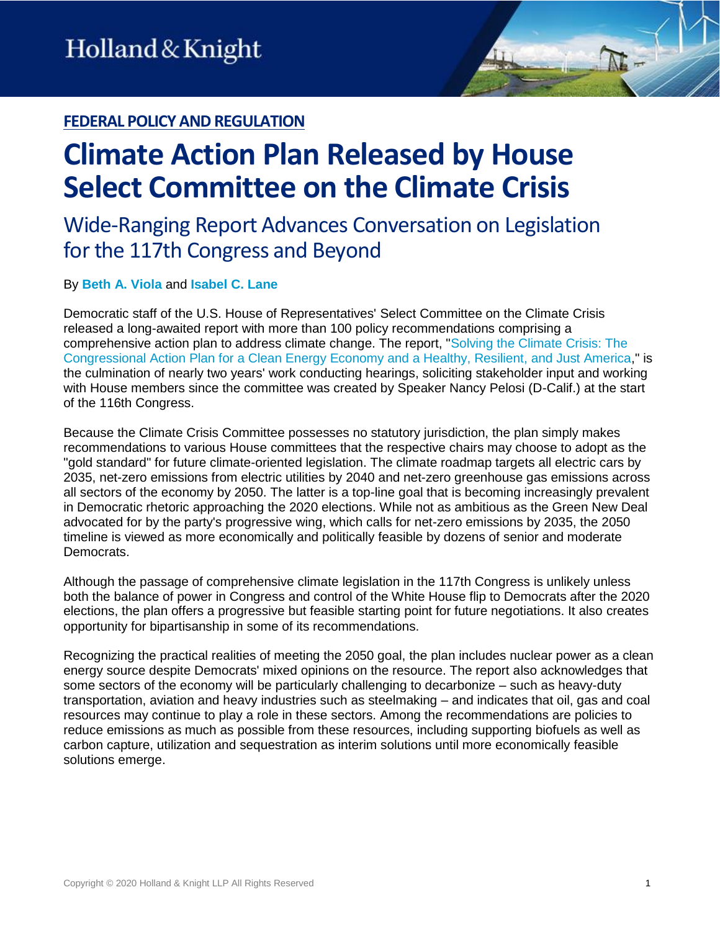### **FEDERAL POLICY AND REGULATION**

# **Climate Action Plan Released by House Select Committee on the Climate Crisis**

## Wide-Ranging Report Advances Conversation on Legislation for the 117th Congress and Beyond

#### By **[Beth A. Viola](https://www.hklaw.com/en/professionals/v/viola-beth-a)** and **[Isabel C. Lane](https://www.hklaw.com/en/professionals/l/lane-isabel-c)**

Democratic staff of the U.S. House of Representatives' Select Committee on the Climate Crisis released a long-awaited report with more than 100 policy recommendations comprising a comprehensive action plan to address climate change. The report, ["Solving the Climate Crisis: The](https://climatecrisis.house.gov/sites/climatecrisis.house.gov/files/Climate%20Crisis%20Action%20Plan.pdf)  [Congressional Action Plan for a Clean Energy Economy and a Healthy, Resilient, and Just America,](https://climatecrisis.house.gov/sites/climatecrisis.house.gov/files/Climate%20Crisis%20Action%20Plan.pdf)" is the culmination of nearly two years' work conducting hearings, soliciting stakeholder input and working with House members since the committee was created by Speaker Nancy Pelosi (D-Calif.) at the start of the 116th Congress.

Because the Climate Crisis Committee possesses no statutory jurisdiction, the plan simply makes recommendations to various House committees that the respective chairs may choose to adopt as the "gold standard" for future climate-oriented legislation. The climate roadmap targets all electric cars by 2035, net-zero emissions from electric utilities by 2040 and net-zero greenhouse gas emissions across all sectors of the economy by 2050. The latter is a top-line goal that is becoming increasingly prevalent in Democratic rhetoric approaching the 2020 elections. While not as ambitious as the Green New Deal advocated for by the party's progressive wing, which calls for net-zero emissions by 2035, the 2050 timeline is viewed as more economically and politically feasible by dozens of senior and moderate Democrats.

Although the passage of comprehensive climate legislation in the 117th Congress is unlikely unless both the balance of power in Congress and control of the White House flip to Democrats after the 2020 elections, the plan offers a progressive but feasible starting point for future negotiations. It also creates opportunity for bipartisanship in some of its recommendations.

Recognizing the practical realities of meeting the 2050 goal, the plan includes nuclear power as a clean energy source despite Democrats' mixed opinions on the resource. The report also acknowledges that some sectors of the economy will be particularly challenging to decarbonize – such as heavy-duty transportation, aviation and heavy industries such as steelmaking – and indicates that oil, gas and coal resources may continue to play a role in these sectors. Among the recommendations are policies to reduce emissions as much as possible from these resources, including supporting biofuels as well as carbon capture, utilization and sequestration as interim solutions until more economically feasible solutions emerge.